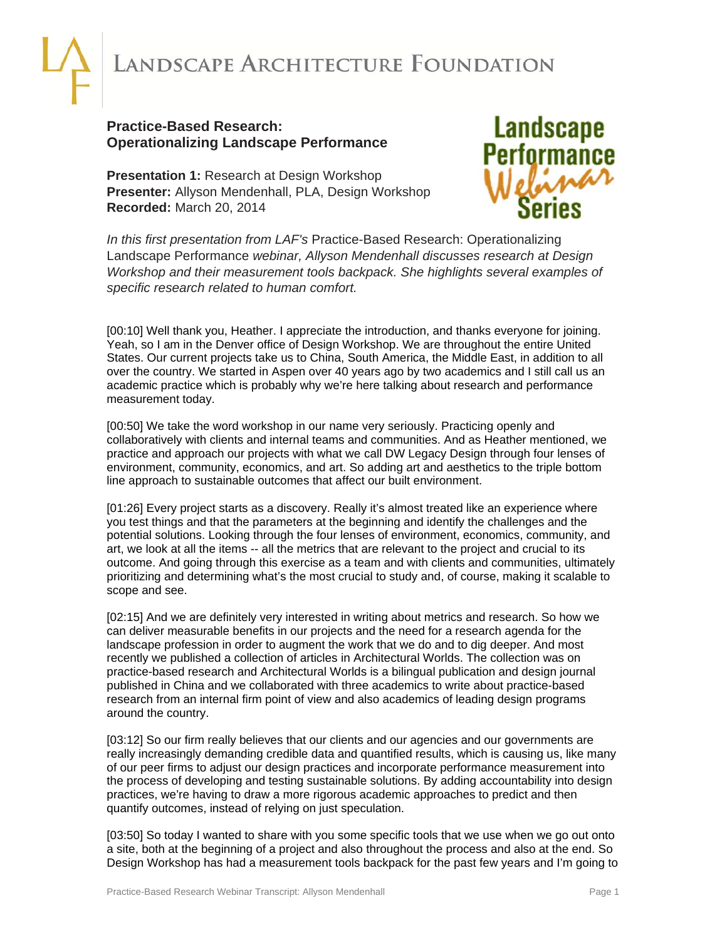## ANDSCAPE ARCHITECTURE FOUNDATION

## **Practice-Based Research: Operationalizing Landscape Performance**

**Presentation 1:** Research at Design Workshop **Presenter:** Allyson Mendenhall, PLA, Design Workshop **Recorded:** March 20, 2014



*In this first presentation from LAF's* Practice-Based Research: Operationalizing Landscape Performance *webinar, Allyson Mendenhall discusses research at Design Workshop and their measurement tools backpack. She highlights several examples of specific research related to human comfort.* 

[00:10] Well thank you, Heather. I appreciate the introduction, and thanks everyone for joining. Yeah, so I am in the Denver office of Design Workshop. We are throughout the entire United States. Our current projects take us to China, South America, the Middle East, in addition to all over the country. We started in Aspen over 40 years ago by two academics and I still call us an academic practice which is probably why we're here talking about research and performance measurement today.

[00:50] We take the word workshop in our name very seriously. Practicing openly and collaboratively with clients and internal teams and communities. And as Heather mentioned, we practice and approach our projects with what we call DW Legacy Design through four lenses of environment, community, economics, and art. So adding art and aesthetics to the triple bottom line approach to sustainable outcomes that affect our built environment.

[01:26] Every project starts as a discovery. Really it's almost treated like an experience where you test things and that the parameters at the beginning and identify the challenges and the potential solutions. Looking through the four lenses of environment, economics, community, and art, we look at all the items -- all the metrics that are relevant to the project and crucial to its outcome. And going through this exercise as a team and with clients and communities, ultimately prioritizing and determining what's the most crucial to study and, of course, making it scalable to scope and see.

[02:15] And we are definitely very interested in writing about metrics and research. So how we can deliver measurable benefits in our projects and the need for a research agenda for the landscape profession in order to augment the work that we do and to dig deeper. And most recently we published a collection of articles in Architectural Worlds. The collection was on practice-based research and Architectural Worlds is a bilingual publication and design journal published in China and we collaborated with three academics to write about practice-based research from an internal firm point of view and also academics of leading design programs around the country.

[03:12] So our firm really believes that our clients and our agencies and our governments are really increasingly demanding credible data and quantified results, which is causing us, like many of our peer firms to adjust our design practices and incorporate performance measurement into the process of developing and testing sustainable solutions. By adding accountability into design practices, we're having to draw a more rigorous academic approaches to predict and then quantify outcomes, instead of relying on just speculation.

[03:50] So today I wanted to share with you some specific tools that we use when we go out onto a site, both at the beginning of a project and also throughout the process and also at the end. So Design Workshop has had a measurement tools backpack for the past few years and I'm going to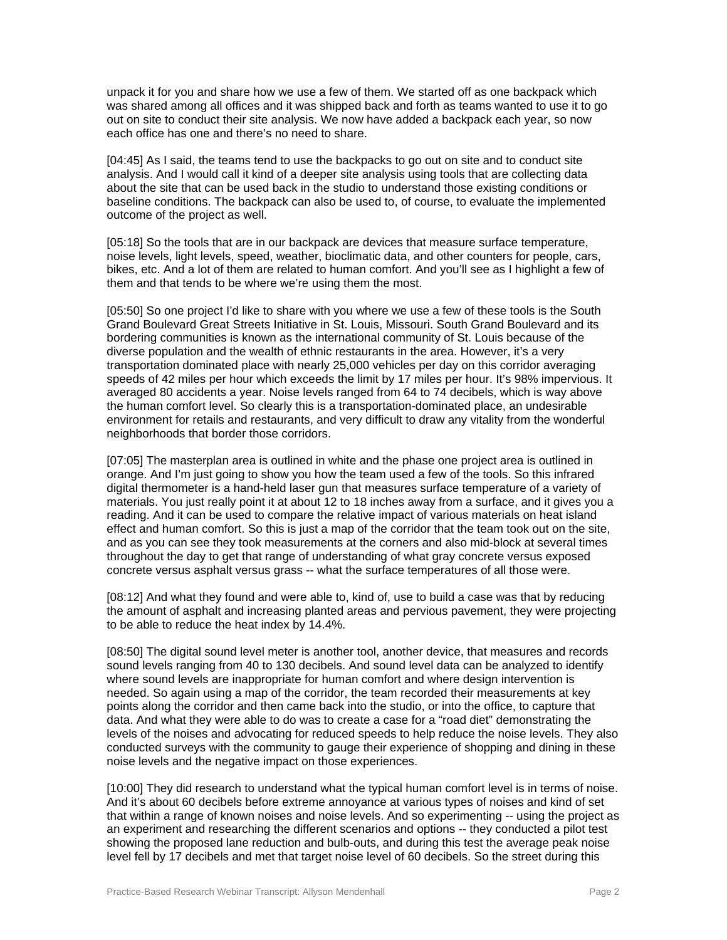unpack it for you and share how we use a few of them. We started off as one backpack which was shared among all offices and it was shipped back and forth as teams wanted to use it to go out on site to conduct their site analysis. We now have added a backpack each year, so now each office has one and there's no need to share.

[04:45] As I said, the teams tend to use the backpacks to go out on site and to conduct site analysis. And I would call it kind of a deeper site analysis using tools that are collecting data about the site that can be used back in the studio to understand those existing conditions or baseline conditions. The backpack can also be used to, of course, to evaluate the implemented outcome of the project as well.

[05:18] So the tools that are in our backpack are devices that measure surface temperature, noise levels, light levels, speed, weather, bioclimatic data, and other counters for people, cars, bikes, etc. And a lot of them are related to human comfort. And you'll see as I highlight a few of them and that tends to be where we're using them the most.

[05:50] So one project I'd like to share with you where we use a few of these tools is the South Grand Boulevard Great Streets Initiative in St. Louis, Missouri. South Grand Boulevard and its bordering communities is known as the international community of St. Louis because of the diverse population and the wealth of ethnic restaurants in the area. However, it's a very transportation dominated place with nearly 25,000 vehicles per day on this corridor averaging speeds of 42 miles per hour which exceeds the limit by 17 miles per hour. It's 98% impervious. It averaged 80 accidents a year. Noise levels ranged from 64 to 74 decibels, which is way above the human comfort level. So clearly this is a transportation-dominated place, an undesirable environment for retails and restaurants, and very difficult to draw any vitality from the wonderful neighborhoods that border those corridors.

[07:05] The masterplan area is outlined in white and the phase one project area is outlined in orange. And I'm just going to show you how the team used a few of the tools. So this infrared digital thermometer is a hand-held laser gun that measures surface temperature of a variety of materials. You just really point it at about 12 to 18 inches away from a surface, and it gives you a reading. And it can be used to compare the relative impact of various materials on heat island effect and human comfort. So this is just a map of the corridor that the team took out on the site, and as you can see they took measurements at the corners and also mid-block at several times throughout the day to get that range of understanding of what gray concrete versus exposed concrete versus asphalt versus grass -- what the surface temperatures of all those were.

[08:12] And what they found and were able to, kind of, use to build a case was that by reducing the amount of asphalt and increasing planted areas and pervious pavement, they were projecting to be able to reduce the heat index by 14.4%.

[08:50] The digital sound level meter is another tool, another device, that measures and records sound levels ranging from 40 to 130 decibels. And sound level data can be analyzed to identify where sound levels are inappropriate for human comfort and where design intervention is needed. So again using a map of the corridor, the team recorded their measurements at key points along the corridor and then came back into the studio, or into the office, to capture that data. And what they were able to do was to create a case for a "road diet" demonstrating the levels of the noises and advocating for reduced speeds to help reduce the noise levels. They also conducted surveys with the community to gauge their experience of shopping and dining in these noise levels and the negative impact on those experiences.

[10:00] They did research to understand what the typical human comfort level is in terms of noise. And it's about 60 decibels before extreme annoyance at various types of noises and kind of set that within a range of known noises and noise levels. And so experimenting -- using the project as an experiment and researching the different scenarios and options -- they conducted a pilot test showing the proposed lane reduction and bulb-outs, and during this test the average peak noise level fell by 17 decibels and met that target noise level of 60 decibels. So the street during this